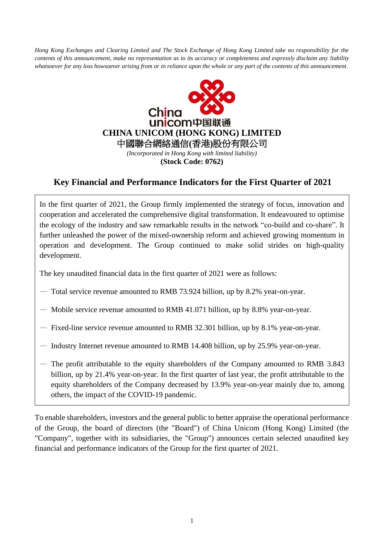*Hong Kong Exchanges and Clearing Limited and The Stock Exchange of Hong Kong Limited take no responsibility for the contents of this announcement, make no representation as to its accuracy or completeness and expressly disclaim any liability whatsoever for any loss howsoever arising from or in reliance upon the whole or any part of the contents of this announcement.*



## **Key Financial and Performance Indicators for the First Quarter of 2021**

In the first quarter of 2021, the Group firmly implemented the strategy of focus, innovation and cooperation and accelerated the comprehensive digital transformation. It endeavoured to optimise the ecology of the industry and saw remarkable results in the network "co-build and co-share". It further unleashed the power of the mixed-ownership reform and achieved growing momentum in operation and development. The Group continued to make solid strides on high-quality development.

The key unaudited financial data in the first quarter of 2021 were as follows:

- Total service revenue amounted to RMB 73.924 billion, up by 8.2% year-on-year.
- Mobile service revenue amounted to RMB 41.071 billion, up by 8.8% year-on-year.
- Fixed-line service revenue amounted to RMB 32.301 billion, up by 8.1% year-on-year.
- Industry Internet revenue amounted to RMB 14.408 billion, up by 25.9% year-on-year.
- The profit attributable to the equity shareholders of the Company amounted to RMB 3.843 billion, up by 21.4% year-on-year. In the first quarter of last year, the profit attributable to the equity shareholders of the Company decreased by 13.9% year-on-year mainly due to, among others, the impact of the COVID-19 pandemic.

To enable shareholders, investors and the general public to better appraise the operational performance of the Group, the board of directors (the "Board") of China Unicom (Hong Kong) Limited (the "Company", together with its subsidiaries, the "Group") announces certain selected unaudited key financial and performance indicators of the Group for the first quarter of 2021.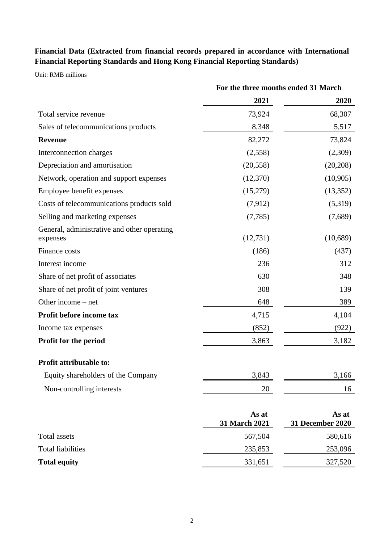## **Financial Data (Extracted from financial records prepared in accordance with International Financial Reporting Standards and Hong Kong Financial Reporting Standards)**

Unit: RMB millions

|                                                         | For the three months ended 31 March |                           |
|---------------------------------------------------------|-------------------------------------|---------------------------|
|                                                         | 2021                                | 2020                      |
| Total service revenue                                   | 73,924                              | 68,307                    |
| Sales of telecommunications products                    | 8,348                               | 5,517                     |
| <b>Revenue</b>                                          | 82,272                              | 73,824                    |
| Interconnection charges                                 | (2,558)                             | (2,309)                   |
| Depreciation and amortisation                           | (20, 558)                           | (20, 208)                 |
| Network, operation and support expenses                 | (12,370)                            | (10, 905)                 |
| Employee benefit expenses                               | (15,279)                            | (13,352)                  |
| Costs of telecommunications products sold               | (7,912)                             | (5,319)                   |
| Selling and marketing expenses                          | (7,785)                             | (7,689)                   |
| General, administrative and other operating<br>expenses | (12, 731)                           | (10,689)                  |
| Finance costs                                           | (186)                               | (437)                     |
| Interest income                                         | 236                                 | 312                       |
| Share of net profit of associates                       | 630                                 | 348                       |
| Share of net profit of joint ventures                   | 308                                 | 139                       |
| Other income – net                                      | 648                                 | 389                       |
| Profit before income tax                                | 4,715                               | 4,104                     |
| Income tax expenses                                     | (852)                               | (922)                     |
| Profit for the period                                   | 3,863                               | 3,182                     |
| Profit attributable to:                                 |                                     |                           |
| Equity shareholders of the Company                      | 3,843                               | 3,166                     |
| Non-controlling interests                               | 20                                  | 16                        |
|                                                         | As at<br>31 March 2021              | As at<br>31 December 2020 |
| <b>Total assets</b>                                     | 567,504                             | 580,616                   |
| <b>Total liabilities</b>                                | 235,853                             | 253,096                   |
| <b>Total equity</b>                                     | 331,651                             | 327,520                   |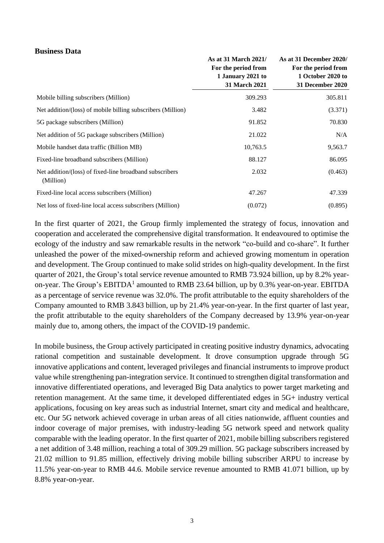## **Business Data**

|                                                                      | As at 31 March 2021/<br>For the period from<br>1 January 2021 to<br>31 March 2021 | As at 31 December 2020/<br>For the period from<br>1 October 2020 to<br>31 December 2020 |
|----------------------------------------------------------------------|-----------------------------------------------------------------------------------|-----------------------------------------------------------------------------------------|
| Mobile billing subscribers (Million)                                 | 309.293                                                                           | 305.811                                                                                 |
| Net addition/(loss) of mobile billing subscribers (Million)          | 3.482                                                                             | (3.371)                                                                                 |
| 5G package subscribers (Million)                                     | 91.852                                                                            | 70.830                                                                                  |
| Net addition of 5G package subscribers (Million)                     | 21.022                                                                            | N/A                                                                                     |
| Mobile handset data traffic (Billion MB)                             | 10,763.5                                                                          | 9,563.7                                                                                 |
| Fixed-line broadband subscribers (Million)                           | 88.127                                                                            | 86.095                                                                                  |
| Net addition/(loss) of fixed-line broadband subscribers<br>(Million) | 2.032                                                                             | (0.463)                                                                                 |
| Fixed-line local access subscribers (Million)                        | 47.267                                                                            | 47.339                                                                                  |
| Net loss of fixed-line local access subscribers (Million)            | (0.072)                                                                           | (0.895)                                                                                 |

In the first quarter of 2021, the Group firmly implemented the strategy of focus, innovation and cooperation and accelerated the comprehensive digital transformation. It endeavoured to optimise the ecology of the industry and saw remarkable results in the network "co-build and co-share". It further unleashed the power of the mixed-ownership reform and achieved growing momentum in operation and development. The Group continued to make solid strides on high-quality development. In the first quarter of 2021, the Group's total service revenue amounted to RMB 73.924 billion, up by 8.2% yearon-year. The Group's  $EBITDA<sup>1</sup>$  amounted to RMB 23.64 billion, up by 0.3% year-on-year. EBITDA as a percentage of service revenue was 32.0%. The profit attributable to the equity shareholders of the Company amounted to RMB 3.843 billion, up by 21.4% year-on-year. In the first quarter of last year, the profit attributable to the equity shareholders of the Company decreased by 13.9% year-on-year mainly due to, among others, the impact of the COVID-19 pandemic.

In mobile business, the Group actively participated in creating positive industry dynamics, advocating rational competition and sustainable development. It drove consumption upgrade through 5G innovative applications and content, leveraged privileges and financial instruments to improve product value while strengthening pan-integration service. It continued to strengthen digital transformation and innovative differentiated operations, and leveraged Big Data analytics to power target marketing and retention management. At the same time, it developed differentiated edges in 5G+ industry vertical applications, focusing on key areas such as industrial Internet, smart city and medical and healthcare, etc. Our 5G network achieved coverage in urban areas of all cities nationwide, affluent counties and indoor coverage of major premises, with industry-leading 5G network speed and network quality comparable with the leading operator. In the first quarter of 2021, mobile billing subscribers registered a net addition of 3.48 million, reaching a total of 309.29 million. 5G package subscribers increased by 21.02 million to 91.85 million, effectively driving mobile billing subscriber ARPU to increase by 11.5% year-on-year to RMB 44.6. Mobile service revenue amounted to RMB 41.071 billion, up by 8.8% year-on-year.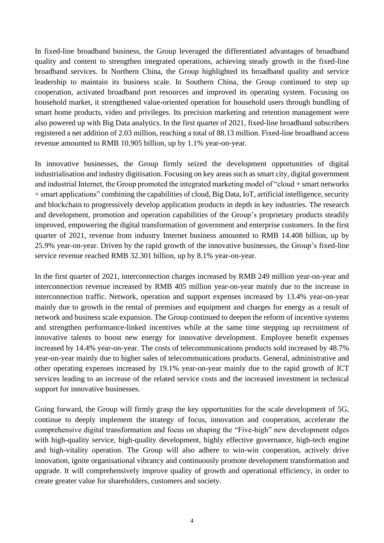In fixed-line broadband business, the Group leveraged the differentiated advantages of broadband quality and content to strengthen integrated operations, achieving steady growth in the fixed-line broadband services. In Northern China, the Group highlighted its broadband quality and service leadership to maintain its business scale. In Southern China, the Group continued to step up cooperation, activated broadband port resources and improved its operating system. Focusing on household market, it strengthened value-oriented operation for household users through bundling of smart home products, video and privileges. Its precision marketing and retention management were also powered up with Big Data analytics. In the first quarter of 2021, fixed-line broadband subscribers registered a net addition of 2.03 million, reaching a total of 88.13 million. Fixed-line broadband access revenue amounted to RMB 10.905 billion, up by 1.1% year-on-year.

In innovative businesses, the Group firmly seized the development opportunities of digital industrialisation and industry digitisation. Focusing on key areas such as smart city, digital government and industrial Internet, the Group promoted the integrated marketing model of "cloud + smart networks + smart applications" combining the capabilities of cloud, Big Data, IoT, artificial intelligence, security and blockchain to progressively develop application products in depth in key industries. The research and development, promotion and operation capabilities of the Group's proprietary products steadily improved, empowering the digital transformation of government and enterprise customers. In the first quarter of 2021, revenue from industry Internet business amounted to RMB 14.408 billion, up by 25.9% year-on-year. Driven by the rapid growth of the innovative businesses, the Group's fixed-line service revenue reached RMB 32.301 billion, up by 8.1% year-on-year.

In the first quarter of 2021, interconnection charges increased by RMB 249 million year-on-year and interconnection revenue increased by RMB 405 million year-on-year mainly due to the increase in interconnection traffic. Network, operation and support expenses increased by 13.4% year-on-year mainly due to growth in the rental of premises and equipment and charges for energy as a result of network and business scale expansion. The Group continued to deepen the reform of incentive systems and strengthen performance-linked incentives while at the same time stepping up recruitment of innovative talents to boost new energy for innovative development. Employee benefit expenses increased by 14.4% year-on-year. The costs of telecommunications products sold increased by 48.7% year-on-year mainly due to higher sales of telecommunications products. General, administrative and other operating expenses increased by 19.1% year-on-year mainly due to the rapid growth of ICT services leading to an increase of the related service costs and the increased investment in technical support for innovative businesses.

Going forward, the Group will firmly grasp the key opportunities for the scale development of 5G, continue to deeply implement the strategy of focus, innovation and cooperation, accelerate the comprehensive digital transformation and focus on shaping the "Five-high" new development edges with high-quality service, high-quality development, highly effective governance, high-tech engine and high-vitality operation. The Group will also adhere to win-win cooperation, actively drive innovation, ignite organisational vibrancy and continuously promote development transformation and upgrade. It will comprehensively improve quality of growth and operational efficiency, in order to create greater value for shareholders, customers and society.